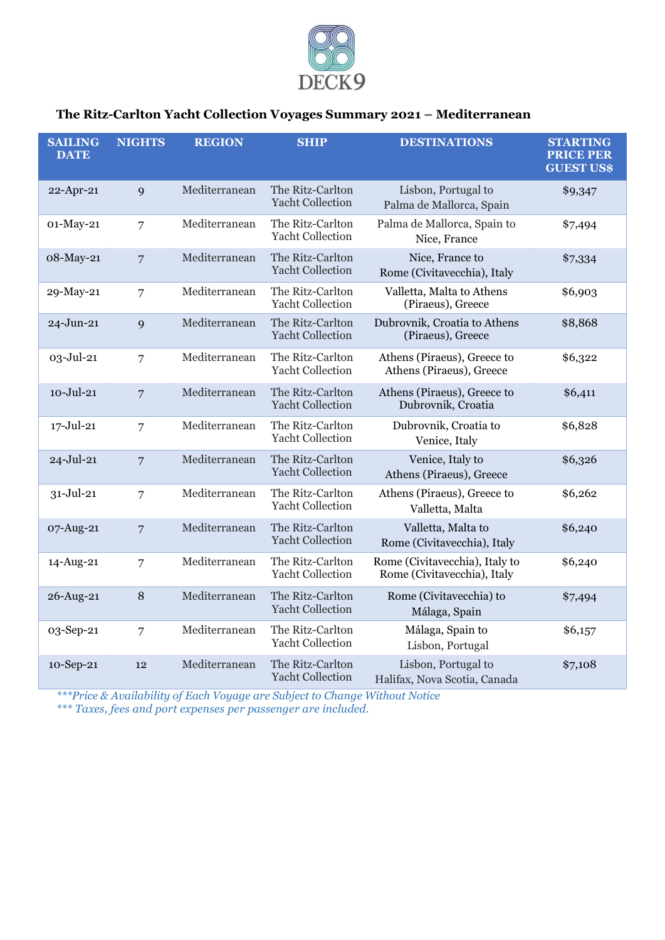

# **The Ritz-Carlton Yacht Collection Voyages Summary 2021 – Mediterranean**

| <b>SAILING</b><br><b>DATE</b> | <b>NIGHTS</b>  | <b>REGION</b> | <b>SHIP</b>                                 | <b>DESTINATIONS</b>                                           | <b>STARTING</b><br><b>PRICE PER</b><br><b>GUEST US\$</b> |
|-------------------------------|----------------|---------------|---------------------------------------------|---------------------------------------------------------------|----------------------------------------------------------|
| 22-Apr-21                     | 9              | Mediterranean | The Ritz-Carlton<br><b>Yacht Collection</b> | Lisbon, Portugal to<br>Palma de Mallorca, Spain               | \$9,347                                                  |
| 01-May-21                     | $\overline{7}$ | Mediterranean | The Ritz-Carlton<br><b>Yacht Collection</b> | Palma de Mallorca, Spain to<br>Nice, France                   | \$7,494                                                  |
| 08-May-21                     | $\overline{7}$ | Mediterranean | The Ritz-Carlton<br><b>Yacht Collection</b> | Nice, France to<br>Rome (Civitavecchia), Italy                | \$7,334                                                  |
| 29-May-21                     | 7              | Mediterranean | The Ritz-Carlton<br><b>Yacht Collection</b> | Valletta, Malta to Athens<br>(Piraeus), Greece                | \$6,903                                                  |
| 24-Jun-21                     | 9              | Mediterranean | The Ritz-Carlton<br><b>Yacht Collection</b> | Dubrovnik, Croatia to Athens<br>(Piraeus), Greece             | \$8,868                                                  |
| 03-Jul-21                     | $\overline{7}$ | Mediterranean | The Ritz-Carlton<br><b>Yacht Collection</b> | Athens (Piraeus), Greece to<br>Athens (Piraeus), Greece       | \$6,322                                                  |
| $10 -$ Jul $-21$              | $\overline{7}$ | Mediterranean | The Ritz-Carlton<br><b>Yacht Collection</b> | Athens (Piraeus), Greece to<br>Dubrovnik, Croatia             | \$6,411                                                  |
| $17 -$ Jul-21                 | 7              | Mediterranean | The Ritz-Carlton<br><b>Yacht Collection</b> | Dubrovnik, Croatia to<br>Venice, Italy                        | \$6,828                                                  |
| 24-Jul-21                     | $\overline{7}$ | Mediterranean | The Ritz-Carlton<br><b>Yacht Collection</b> | Venice, Italy to<br>Athens (Piraeus), Greece                  | \$6,326                                                  |
| $31 -$ Jul-21                 | 7              | Mediterranean | The Ritz-Carlton<br><b>Yacht Collection</b> | Athens (Piraeus), Greece to<br>Valletta, Malta                | \$6,262                                                  |
| 07-Aug-21                     | $\overline{7}$ | Mediterranean | The Ritz-Carlton<br><b>Yacht Collection</b> | Valletta, Malta to<br>Rome (Civitavecchia), Italy             | \$6,240                                                  |
| 14-Aug-21                     | 7              | Mediterranean | The Ritz-Carlton<br><b>Yacht Collection</b> | Rome (Civitavecchia), Italy to<br>Rome (Civitavecchia), Italy | \$6,240                                                  |
| 26-Aug-21                     | 8              | Mediterranean | The Ritz-Carlton<br><b>Yacht Collection</b> | Rome (Civitavecchia) to<br>Málaga, Spain                      | \$7,494                                                  |
| 03-Sep-21                     | 7              | Mediterranean | The Ritz-Carlton<br><b>Yacht Collection</b> | Málaga, Spain to<br>Lisbon, Portugal                          | \$6,157                                                  |
| 10-Sep-21                     | 12             | Mediterranean | The Ritz-Carlton<br><b>Yacht Collection</b> | Lisbon, Portugal to<br>Halifax, Nova Scotia, Canada           | \$7,108                                                  |

*\*\*\*Price & Availability of Each Voyage are Subject to Change Without Notice*

*\*\*\* Taxes, fees and port expenses per passenger are included.*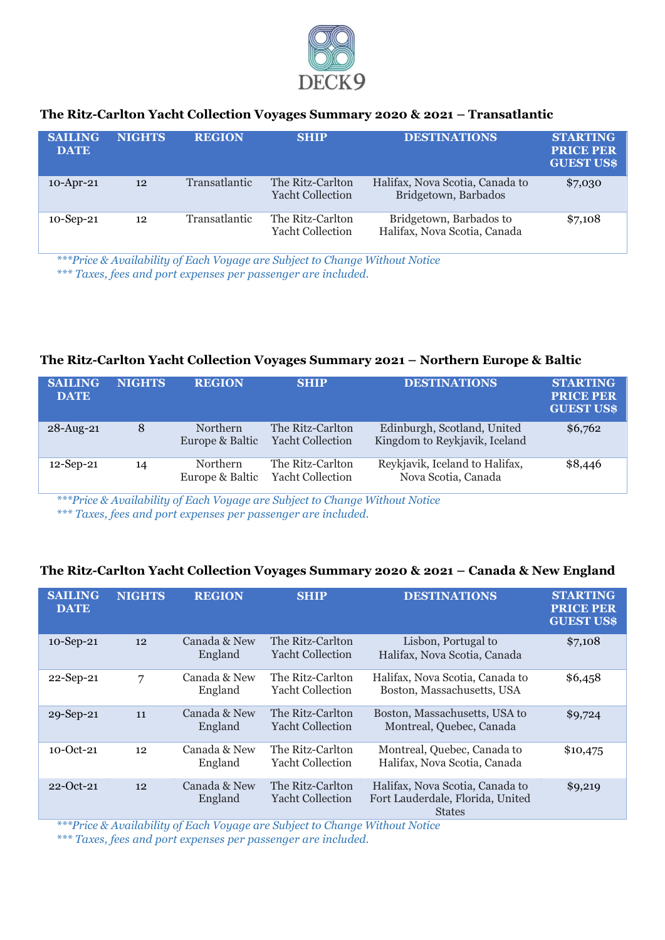

## **The Ritz-Carlton Yacht Collection Voyages Summary 2020 & 2021 – Transatlantic**

| <b>SAILING</b><br><b>DATE</b> | <b>NIGHTS</b> | <b>REGION</b>        | <b>SHIP</b>                                 | <b>DESTINATIONS</b>                                     | <b>STARTING</b><br><b>PRICE PER</b><br><b>GUEST US\$</b> |
|-------------------------------|---------------|----------------------|---------------------------------------------|---------------------------------------------------------|----------------------------------------------------------|
| $10$ -Apr-21                  | 12            | Transatlantic        | The Ritz-Carlton<br><b>Yacht Collection</b> | Halifax, Nova Scotia, Canada to<br>Bridgetown, Barbados | \$7,030                                                  |
| $10$ -Sep-21                  | 12            | <b>Transatlantic</b> | The Ritz-Carlton<br><b>Yacht Collection</b> | Bridgetown, Barbados to<br>Halifax, Nova Scotia, Canada | \$7,108                                                  |

*\*\*\*Price & Availability of Each Voyage are Subject to Change Without Notice*

*\*\*\* Taxes, fees and port expenses per passenger are included.*

#### **The Ritz-Carlton Yacht Collection Voyages Summary 2021 – Northern Europe & Baltic**

| <b>SAILING</b><br><b>DATE</b> | <b>NIGHTS</b> | <b>REGION</b>                      | <b>SHIP</b>                                 | <b>DESTINATIONS</b>                                          | <b>STARTING</b><br><b>PRICE PER</b><br><b>GUEST US\$</b> |
|-------------------------------|---------------|------------------------------------|---------------------------------------------|--------------------------------------------------------------|----------------------------------------------------------|
| 28-Aug-21                     | 8             | Northern<br>Europe & Baltic        | The Ritz-Carlton<br><b>Yacht Collection</b> | Edinburgh, Scotland, United<br>Kingdom to Reykjavik, Iceland | \$6,762                                                  |
| $12$ -Sep-21                  | 14            | <b>Northern</b><br>Europe & Baltic | The Ritz-Carlton<br><b>Yacht Collection</b> | Reykjavik, Iceland to Halifax,<br>Nova Scotia, Canada        | \$8,446                                                  |

*\*\*\*Price & Availability of Each Voyage are Subject to Change Without Notice \*\*\* Taxes, fees and port expenses per passenger are included.*

## **The Ritz-Carlton Yacht Collection Voyages Summary 2020 & 2021 – Canada & New England**

| <b>SAILING</b><br><b>DATE</b> | <b>NIGHTS</b> | <b>REGION</b>           | <b>SHIP</b>                                 | <b>DESTINATIONS</b>                                                                  | <b>STARTING</b><br><b>PRICE PER</b><br><b>GUEST US\$</b> |
|-------------------------------|---------------|-------------------------|---------------------------------------------|--------------------------------------------------------------------------------------|----------------------------------------------------------|
| 10-Sep-21                     | 12            | Canada & New<br>England | The Ritz-Carlton<br><b>Yacht Collection</b> | Lisbon, Portugal to<br>Halifax, Nova Scotia, Canada                                  | \$7,108                                                  |
| 22-Sep-21                     | 7             | Canada & New<br>England | The Ritz-Carlton<br><b>Yacht Collection</b> | Halifax, Nova Scotia, Canada to<br>Boston, Massachusetts, USA                        | \$6,458                                                  |
| 29-Sep-21                     | 11            | Canada & New<br>England | The Ritz-Carlton<br><b>Yacht Collection</b> | Boston, Massachusetts, USA to<br>Montreal, Quebec, Canada                            | \$9,724                                                  |
| $10 - Oct-21$                 | 12            | Canada & New<br>England | The Ritz-Carlton<br><b>Yacht Collection</b> | Montreal, Quebec, Canada to<br>Halifax, Nova Scotia, Canada                          | \$10,475                                                 |
| $22 - Oct-21$                 | 12            | Canada & New<br>England | The Ritz-Carlton<br><b>Yacht Collection</b> | Halifax, Nova Scotia, Canada to<br>Fort Lauderdale, Florida, United<br><b>States</b> | \$9,219                                                  |

*\*\*\*Price & Availability of Each Voyage are Subject to Change Without Notice*

*\*\*\* Taxes, fees and port expenses per passenger are included.*